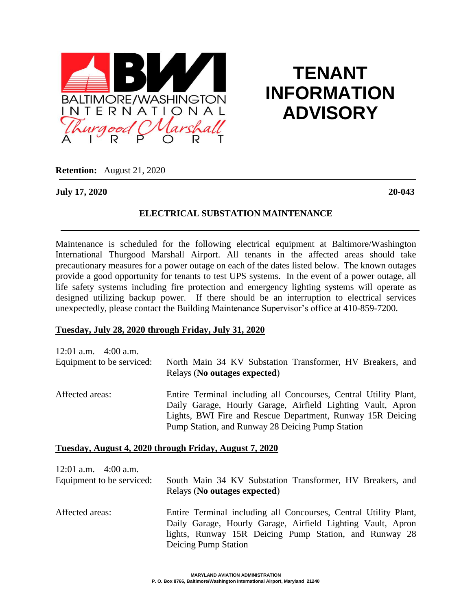

# **TENANT INFORMATION ADVISORY**

**Retention:** August 21, 2020

**July 17, 2020 20-043**

## **ELECTRICAL SUBSTATION MAINTENANCE**

Maintenance is scheduled for the following electrical equipment at Baltimore/Washington International Thurgood Marshall Airport. All tenants in the affected areas should take precautionary measures for a power outage on each of the dates listed below. The known outages provide a good opportunity for tenants to test UPS systems. In the event of a power outage, all life safety systems including fire protection and emergency lighting systems will operate as designed utilizing backup power. If there should be an interruption to electrical services unexpectedly, please contact the Building Maintenance Supervisor's office at 410-859-7200.

### **Tuesday, July 28, 2020 through Friday, July 31, 2020**

| 12:01 a.m. $-4:00$ a.m.   | North Main 34 KV Substation Transformer, HV Breakers, and                                                                                                                                                                                         |
|---------------------------|---------------------------------------------------------------------------------------------------------------------------------------------------------------------------------------------------------------------------------------------------|
| Equipment to be serviced: | Relays (No outages expected)                                                                                                                                                                                                                      |
| Affected areas:           | Entire Terminal including all Concourses, Central Utility Plant,<br>Daily Garage, Hourly Garage, Airfield Lighting Vault, Apron<br>Lights, BWI Fire and Rescue Department, Runway 15R Deicing<br>Pump Station, and Runway 28 Deicing Pump Station |

### **Tuesday, August 4, 2020 through Friday, August 7, 2020**

| 12:01 a.m. $-4:00$ a.m.   | South Main 34 KV Substation Transformer, HV Breakers, and                                                                                                                                                         |
|---------------------------|-------------------------------------------------------------------------------------------------------------------------------------------------------------------------------------------------------------------|
| Equipment to be serviced: | Relays (No outages expected)                                                                                                                                                                                      |
| Affected areas:           | Entire Terminal including all Concourses, Central Utility Plant,<br>Daily Garage, Hourly Garage, Airfield Lighting Vault, Apron<br>lights, Runway 15R Deicing Pump Station, and Runway 28<br>Deicing Pump Station |